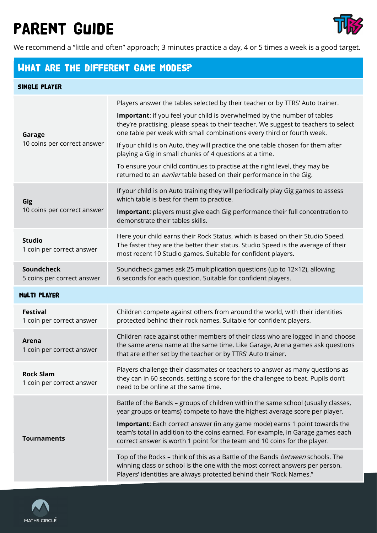# Parent Guide



We recommend a "little and often" approach; 3 minutes practice a day, 4 or 5 times a week is a good target.

### What are the different Game Modes?

#### Single Player

| Garage<br>10 coins per correct answer         | Players answer the tables selected by their teacher or by TTRS' Auto trainer.<br>Important: if you feel your child is overwhelmed by the number of tables<br>they're practising, please speak to their teacher. We suggest to teachers to select<br>one table per week with small combinations every third or fourth week.<br>If your child is on Auto, they will practice the one table chosen for them after<br>playing a Gig in small chunks of 4 questions at a time.<br>To ensure your child continues to practise at the right level, they may be<br>returned to an <i>earlier</i> table based on their performance in the Gig.                    |
|-----------------------------------------------|----------------------------------------------------------------------------------------------------------------------------------------------------------------------------------------------------------------------------------------------------------------------------------------------------------------------------------------------------------------------------------------------------------------------------------------------------------------------------------------------------------------------------------------------------------------------------------------------------------------------------------------------------------|
| Gig<br>10 coins per correct answer            | If your child is on Auto training they will periodically play Gig games to assess<br>which table is best for them to practice.<br>Important: players must give each Gig performance their full concentration to<br>demonstrate their tables skills.                                                                                                                                                                                                                                                                                                                                                                                                      |
| <b>Studio</b><br>1 coin per correct answer    | Here your child earns their Rock Status, which is based on their Studio Speed.<br>The faster they are the better their status. Studio Speed is the average of their<br>most recent 10 Studio games. Suitable for confident players.                                                                                                                                                                                                                                                                                                                                                                                                                      |
| Soundcheck<br>5 coins per correct answer      | Soundcheck games ask 25 multiplication questions (up to 12×12), allowing<br>6 seconds for each question. Suitable for confident players.                                                                                                                                                                                                                                                                                                                                                                                                                                                                                                                 |
| <b>MULTI PLAYER</b>                           |                                                                                                                                                                                                                                                                                                                                                                                                                                                                                                                                                                                                                                                          |
| <b>Festival</b><br>1 coin per correct answer  | Children compete against others from around the world, with their identities<br>protected behind their rock names. Suitable for confident players.                                                                                                                                                                                                                                                                                                                                                                                                                                                                                                       |
| Arena<br>1 coin per correct answer            | Children race against other members of their class who are logged in and choose<br>the same arena name at the same time. Like Garage, Arena games ask questions<br>that are either set by the teacher or by TTRS' Auto trainer.                                                                                                                                                                                                                                                                                                                                                                                                                          |
| <b>Rock Slam</b><br>1 coin per correct answer | Players challenge their classmates or teachers to answer as many questions as<br>they can in 60 seconds, setting a score for the challengee to beat. Pupils don't<br>need to be online at the same time.                                                                                                                                                                                                                                                                                                                                                                                                                                                 |
| <b>Tournaments</b>                            | Battle of the Bands - groups of children within the same school (usually classes,<br>year groups or teams) compete to have the highest average score per player.<br>Important: Each correct answer (in any game mode) earns 1 point towards the<br>team's total in addition to the coins earned. For example, in Garage games each<br>correct answer is worth 1 point for the team and 10 coins for the player.<br>Top of the Rocks - think of this as a Battle of the Bands between schools. The<br>winning class or school is the one with the most correct answers per person.<br>Players' identities are always protected behind their "Rock Names." |